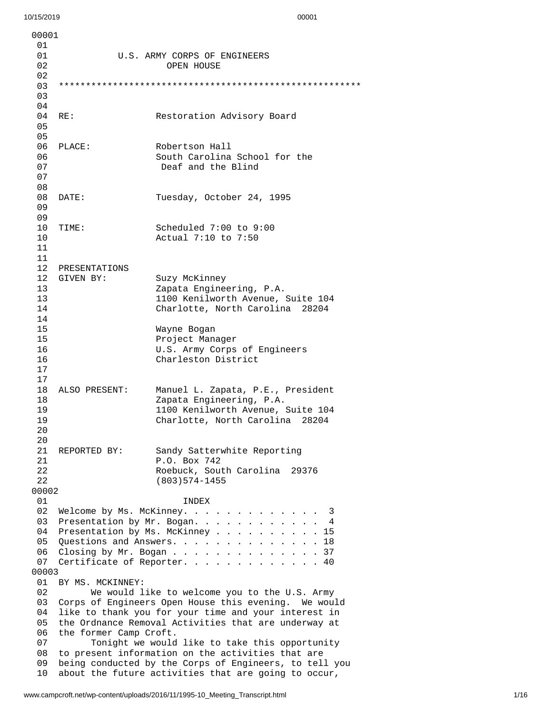| 00001    |                                                                             |                                                        |
|----------|-----------------------------------------------------------------------------|--------------------------------------------------------|
| 01       |                                                                             | U.S. ARMY CORPS OF ENGINEERS                           |
| 01<br>02 |                                                                             | <b>OPEN HOUSE</b>                                      |
| 02       |                                                                             |                                                        |
| 03       |                                                                             |                                                        |
| 03       |                                                                             |                                                        |
| 04       |                                                                             |                                                        |
| 04       | RE:                                                                         | Restoration Advisory Board                             |
| 05       |                                                                             |                                                        |
| 05       |                                                                             |                                                        |
| 06       | PLACE:                                                                      | Robertson Hall                                         |
| 06       |                                                                             | South Carolina School for the                          |
| 07       |                                                                             | Deaf and the Blind                                     |
| 07       |                                                                             |                                                        |
| 08       |                                                                             |                                                        |
| 08       | DATE:                                                                       | Tuesday, October 24, 1995                              |
| 09       |                                                                             |                                                        |
| 09       |                                                                             |                                                        |
| 10       | TIME:                                                                       | Scheduled 7:00 to 9:00                                 |
| 10       |                                                                             | Actual 7:10 to 7:50                                    |
| 11       |                                                                             |                                                        |
| 11       |                                                                             |                                                        |
|          | 12 PRESENTATIONS                                                            |                                                        |
| 12       | GIVEN BY:                                                                   | Suzy McKinney                                          |
| 13       |                                                                             | Zapata Engineering, P.A.                               |
| 13       |                                                                             | 1100 Kenilworth Avenue, Suite 104                      |
| 14       |                                                                             | Charlotte, North Carolina 28204                        |
| 14<br>15 |                                                                             |                                                        |
| 15       |                                                                             | Wayne Bogan<br>Project Manager                         |
| 16       |                                                                             | U.S. Army Corps of Engineers                           |
| 16       |                                                                             | Charleston District                                    |
| 17       |                                                                             |                                                        |
| 17       |                                                                             |                                                        |
| 18       | ALSO PRESENT:                                                               | Manuel L. Zapata, P.E., President                      |
| 18       |                                                                             | Zapata Engineering, P.A.                               |
| 19       |                                                                             | 1100 Kenilworth Avenue, Suite 104                      |
| 19       |                                                                             | Charlotte, North Carolina 28204                        |
| 20       |                                                                             |                                                        |
| 20       |                                                                             |                                                        |
| 21       | REPORTED BY:                                                                | Sandy Satterwhite Reporting                            |
| 21       |                                                                             | P.O. Box 742                                           |
| 22       |                                                                             | Roebuck, South Carolina<br>29376                       |
| 22       |                                                                             | $(803)$ 574-1455                                       |
| 00002    |                                                                             |                                                        |
| 01       |                                                                             | INDEX                                                  |
| 02       |                                                                             | 3                                                      |
| 03<br>04 | Presentation by Mr. Bogan. 4                                                |                                                        |
| 05       | Presentation by Ms. McKinney $\ldots$<br>15<br>Questions and Answers.<br>18 |                                                        |
| 06       |                                                                             | Closing by Mr. Bogan 37                                |
| 07       |                                                                             | Certificate of Reporter.<br>40                         |
| 00003    |                                                                             |                                                        |
| 01       | BY MS. MCKINNEY:                                                            |                                                        |
| 02       |                                                                             | We would like to welcome you to the U.S. Army          |
| 03       |                                                                             | Corps of Engineers Open House this evening. We would   |
| 04       |                                                                             | like to thank you for your time and your interest in   |
| 05       |                                                                             | the Ordnance Removal Activities that are underway at   |
| 06       | the former Camp Croft.                                                      |                                                        |
| 07       |                                                                             | Tonight we would like to take this opportunity         |
| 08       |                                                                             | to present information on the activities that are      |
| 09       |                                                                             | being conducted by the Corps of Engineers, to tell you |
| 10       |                                                                             | about the future activities that are going to occur,   |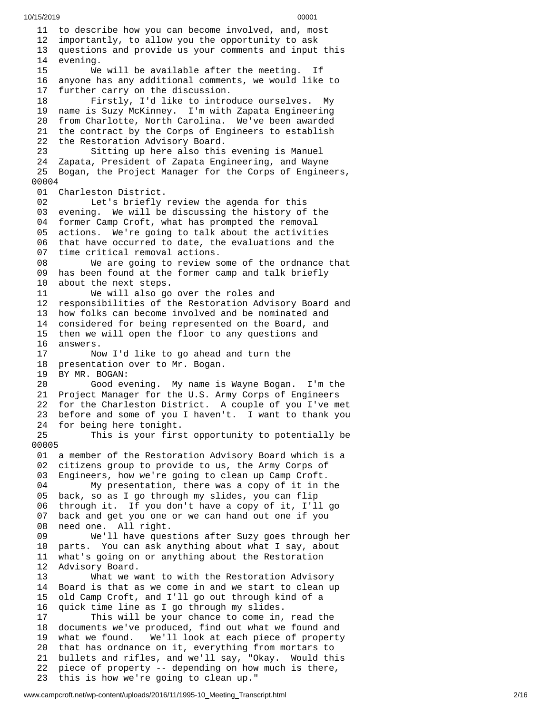11 to describe how you can become involved, and, most 12 importantly, to allow you the opportunity to ask 13 questions and provide us your comments and input this 1 4 evening.  $15<sub>°</sub>$ will be available after the meeting. If 1 6 anyone has any additional comments, we would like to 1 7 further carry on the discussion. 18 Firstly, I'd like to introduce ourselves. My 19 name is Suzy McKinney. I'm with Zapata Engineering 20 from Charlotte, North Carolina. We've been awarded 21 the contract by the Corps of Engineers to establish 22 the Restoration Advisory Board. 23 Sitting up here also this evening is Manuel 24 Zapata, President of Zapata Engineering, and Wayne 25 Bogan, the Project Manager for the Corps of Engineers, 0 0 0 0 4 01 Charleston District. 02 Let's briefly review the agenda for this 03 evening. We will be discussing the history of the 04 former Camp Croft, what has prompted the removal 0 5 actions. We're going to talk about the activities 06 that have occurred to date, the evaluations and the 0 7 time critical removal actions. 08 We are going to review some of the ordnance that 09 has been found at the former camp and talk briefly 1 0 about the next steps. 11 We will also go over the roles and 12 responsibilities of the Restoration Advisory Board and 13 how folks can become involved and be nominated and 14 considered for being represented on the Board, and 15 then we will open the floor to any questions and 1 6 a n s w e r s. 17 Now I'd like to go ahead and turn the 18 presentation over to Mr. Bogan. 19 BY MR. BOGAN: 20 Good evening. My name is Wayne Bogan. I'm the 21 Project Manager for the U.S. Army Corps of Engineers 22 for the Charleston District. A couple of you I've met 23 before and some of you I haven't. I want to thank you 24 for being here tonight. 25 This is your first opportunity to potentially be 0 0 0 0 5 01 a member of the Restoration Advisory Board which is a 02 citizens group to provide to us, the Army Corps of 03 Engineers, how we're going to clean up Camp Croft. 04 My presentation, there was a copy of it in t h e 05 back, so as I go through my slides, you can flip 06 through it. If you don't have a copy of it, I'll go 0 7 back and get you one or we can hand out one if you 0 8 need one. All right. 09 We'll have questions after Suzy goes through her 1 0 parts. You can ask anything about what I say, about 11 what's going on or anything about the Restoration 1 2 Advisory Board. 13 What we w a n t t o w i t h t h e R e s t o r a t i o n A d v i s o r y 14 Board is that as we come in and we start to clean up 1 5 old Camp Croft, and I'll go out through kind of a 1 6 quick time line as I go through my slides. 17 This will be your chance to come in, read the 18 documents we've produced, find out what we found and 1 9 w h a t w e f o u n d. W e'll look at each piece of property 20 that has ordnance on it, everything from mortars to 21 bullets and rifles, and we'll say, "Okay. Would this 22 piece of property -- depending on how much is there, 23 this is how we're going to clean up."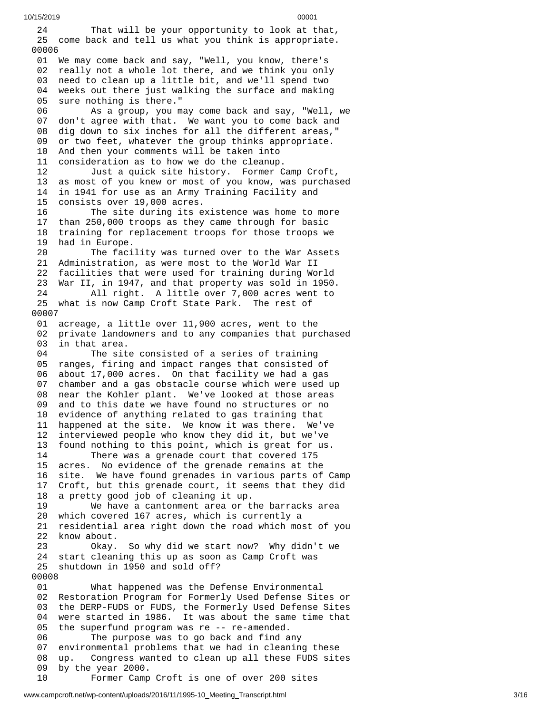10/15/2019 00001

2 4 That will be your opportunity to look at that, 25 come back and tell us what you think is appropriate. 00006 01 We may come back and say, "Well, you know, there's 02 really not a whole lot there, and we think you only<br>03 need to clean up a little bit, and we'll spend two need to clean up a little bit, and we'll spend two 04 weeks out there just walking the surface and making 05 sure nothing is there." 06 As a group, you may come back and say, "Well, we 0 7 don't agree with that. We want you to come back and 0 8 dig down to six inches for all the different areas," 0 9 or two feet, whatever the group thinks appropriate. 10 And then your comments will be taken into 11 consideration as to how we do the cleanup. 12 Just a quick site history. Former Camp Croft , 13 as most of you knew or most of you know, was purchased 14 in 1941 for use as an Army Training Facility and 15 consists over 19,000 acres. 16 The site during its existence was home to more 17 than 250,000 troops as they came through for basic 18 training for replacement troops for those troops we 1 9 had in Europe. 20 The facility was turned over to the War Assets 21 Administration, as were most to the World War II 22 facilities that were used for training during World 23 War II, in 1947, and that property was sold in 1950. 24 All right. A little over 7,000 acres went to 25 what is now Camp Croft State Park. The rest of 0 0 0 0 7 01 acreage, a little over 11,900 acres, went to the 02 private landowners and to any companies that purchased 03 in that area. 04 The site consisted of a series of training 05 ranges, firing and impact ranges that consisted of 06 about 17,000 acres. On that facility we had a gas 0 7 chamber and a gas obstacle course which were used up 0 8 near the Kohler plant. We've looked at those areas 0 9 and to this date we have found no structures or no 1 0 evidence of anything related to gas training that 11 happened at the site. We know it was there. We've 12 interviewed people who know they did it, but we've 13 found nothing to this point, which is great for us. 14 There was a grenade court that covered 175 15 acres. No evidence of the grenade remains at the 16 site. We have found grenades in various parts of C a m p 17 Croft, but this grenade court, it seems that they did 1 8 a pretty good job of cleaning it up. 19 We have a cantonment area or t h e b a r r a c k s a r e a 20 which covered 167 acres, which is currently a 21 residential area right down the road which most of you 22 know about. 23 Okay. S o w h y d i d w e s t a r t n o w ? W h y d i d n't w e 24 start cleaning this up as soon as Camp Croft was 2 5 shutdown in 1950 and sold off? 0 0 0 0 8 0 1 What happened was the Defense Environmental 0 2 Restoration Program for Formerly Used Defense Sites or 0 3 the DERP-FUDS or FUDS, the Formerly Used Defense Sites 0 4 were started in 1986. It was about the same time that 05 the superfund program was re -- re-amended. 06 The purpose was to go back and find any 07 environmental problems that we had in cleaning these 0 8 u p. C ongress wanted to clean up all these FUDS sites 0 9 by the year 2000. 10 Former Camp Croft is one of over 200 sites

www.campcroft.net/wp-content/uploads/2016/11/1995-10\_Meeting\_Transcript.html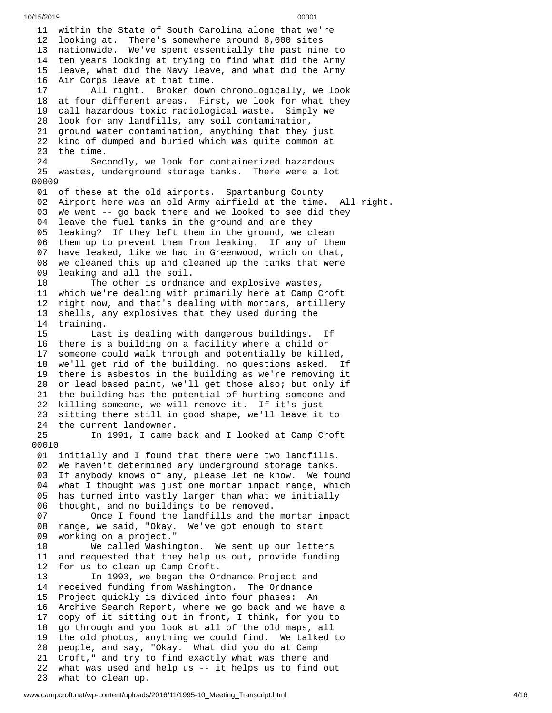11 within the State of South Carolina alone that we're 12 looking at. There's somewhere around 8,000 sites 13 nationwide. We've spent essentially the past nine to 14 ten years looking at trying to find what did the Army 1 5 leave, what did the Navy leave, and what did the Army 1 6 Air Corps leave at that time. 17 All right. Broken down c h r o n o l o g i c a l l y , w e l o o k 1 8 at four different areas. First, we look for what they 1 9 call hazardous toxic radiological waste. Simply we 2 0 look for any landfills, any soil contamination, 21 ground water contamination, anything that they just 22 kind of dumped and buried which was quite common at 23 the time. 24 Secondly, we look for containerized hazardous 25 wastes, underground storage tanks. There were a lot 0 0 0 0 9 01 of these at the old airports. Spartanburg County 0 2 A i r p o r t h e r e w a s a n o l d A r m y a i r f i e l d a t t h e t i m e. A l l r i g h t. 03 We went -- go back there and we looked to see did they 04 leave the fuel tanks in the ground and are they<br>05 leaking? If they left them in the ground, we c leaking? If they left them in the ground, we clean 06 them up to prevent them from leaking. If any of them 07 have leaked, like we had in Greenwood, which on that, 08 we cleaned this up and cleaned up the tanks that were 09 leaking and all the soil. 10 The other is ordnance and explosive wastes, 11 which we're dealing with primarily here at Camp Croft 12 right now, and that's dealing with mortars, artillery 13 shells, any explosives that they used during the 14 training. 15 Last is dealing with dangerous buildings. If 16 there is a building on a facility where a child or 17 someone could walk through and potentially be killed, 18 we'll get rid of the building, no questions asked. If 19 there is asbestos in the building as we're removing it 20 or lead based paint, we'll get those also; but only if 21 the building has the potential of hurting someone and<br>22 killing someone, we will remove it. If it's just killing someone, we will remove it. If it's just 23 sitting there still in good shape, we'll leave it to 24 the current landowner.<br>25 In 1991, I came In 1991, I came back and I looked at Camp Croft 00010 01 initially and I found that there were two landfills. 02 We haven't determined any underground storage tanks. 03 If anybody knows of any, please let me know. We fou n d 04 what I thought was just one mortar impact range, which 05 has turned into vastly larger than what we initially 0 6 thought, and no buildings to be removed. 07 Once I found the landfills and the mortar impact 0 8 range, we said, "Okay. We've got enough to start 0 9 working on a project." 1 0 We called Washington. We sent up our letters 1 1 and requested that they help us out, provide funding 1 2 for us to clean up Camp Croft. 13 In 1993, we began the Ordnance Project and 14 received funding from Washington. The Ordnance 15 Project quickly is divided into four phases: An 16 Archive Search Report, where we go back and we have a 17 copy of it sitting out in front, I think, for you to 18 go through and you look at all of the old maps, all 19 the old photos, anything we could find. We talked to 20 people, and say, "Okay. What did you do at Camp 21 Croft," and try to find exactly what was there and 22 what was used and help us -- it helps us to find out 23 what to clean up.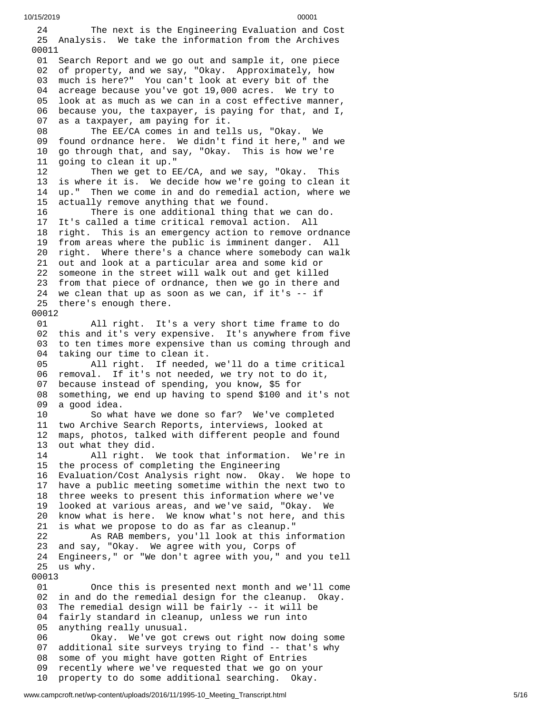```
10/15/2019 00001
```
2 4 The next is the Engineering Evaluation and Cost 25 Analysis. We take the information from the Archives 00011 01 Search Report and we go out and sample it, one piece 02 of property, and we say, "Okay. Approximately, how 0 3 much is here?" You can't look at every bit of the 0 4 acreage because you've got 19,000 acres. We try to 0 5 look at as much as we can in a cost effective manner, 06 because you, the taxpayer, is paying for that, and I, 0 7 as a taxpayer, am paying for it. 08 The EE/CA comes in and tells us, "Okay. We 09 found ordnance here. We didn't find it here," and we 1 0 go through that, and say, "Okay. This is how we're 1 1 going to clean it up." 1 2 Then we get to EE/CA, and we say, "Okay. This 13 is where it is. We decide how we're going to clean it 14 up." Then we come in and do remedial action, where we 1 5 actually remove anything that we found. 16 There is one additional thing that we can do. 17 It's called a time critical removal action. All 18 right. This is an emergency action to remove ordna n c e 19 from areas where the public is imminent danger. All 20 right. Where there's a chance where somebody can walk 21 out and look at a particular area and some kid or 22 someone in the street will walk out and get killed 23 from that piece of ordnance, then we go in there and 24 we clean that up as soon as we can, if it's -- if 25 there's enough there. 00012 01 All right. It's a v e r y s h o r t t i m e f r a m e t o d o 02 this and it's very expensive. It's anywhere from five 03 to ten times more expensive than us coming through and 04 taking our time to clean it. 05 All right. If needed, w e'l l d o a t i m e c r i t i c a l 06 removal. If it's not needed, we try not to do it, 0 7 because instead of spending, you know, \$5 for 0 8 something, we end up having to spend \$100 and it's not 0 9 a good idea. 10 So what have we done so far? We've completed 1 1 two Archive Search Reports, interviews, looked at 1 2 maps, photos, talked with different people and found 1 3 out what they did. 14 All right. We took that information. We're in 15 the process of completing the Engineering 16 Evaluation/Cost Analysis right now. Okay. We hope to 17 have a public meeting sometime within the next two to 18 three weeks to present this information where we've 19 looked at various areas, and we've said, "Okay. We 20 know what is here. We know what's not here, and this 21 is what we propose to do as far as cleanup." 2 2 As RAB members, you'll look at this information 23 and say, "Okay. We agree with you, Corps of 24 Engineers," or "We don't agree with you," and you tell 2 5 u s w h y. 00013 01 nce this is presented next month and we'll come 0 2 in and do the remedial design for the cleanup. Okay. 03 The remedial design will be fairly -- it will be 04 fairly standard in cleanup, unless we run into 05 anything really unusual. Okay. We've got crews out right now doing some 07 additional site surveys trying to find -- that's why 08 some of you might have gotten Right of Entries 09 recently where we've requested that we go on your 10 property to do some additional searching. Okay.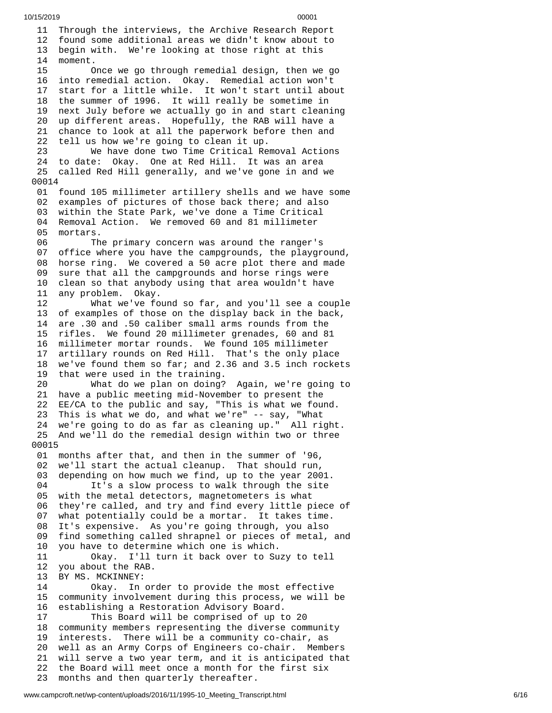11 Through the interviews, the Archive Research Report 12 found some additional areas we didn't know about to 1 3 begin with. We're looking at those right at this 1 4 moment.  $15$ nce we go through remedial design, then we go 1 6 into remedial action. Okay. Remedial action won't 1 7 start for a little while. It won't start until about 18 the summer of 1996. It will really be sometime in 1 9 next July before we actually go in and start cleaning 20 up different areas. Hopefully, the RAB will have a 21 chance to look at all the paperwork before then and 22 tell us how we're going to clean it up. 23 We have done two Time Critical Re m o v a l A c t i o n s 24 to date: Okay. One at Red Hill. It was an area 25 called Red Hill generally, and we've gone in and we 0 0 0 1 4 01 found 105 millimeter artillery shells and we have some 02 examples of pictures of those back there; and also 0 3 within the State Park, we've done a Time Critical 04 Removal Action. We removed 60 and 81 millimeter 0 5 mortars. 06 The primary concern was around the ranger's 0 7 office where you have the campgrounds, the playground, 0 8 horse ring. We covered a 50 acre plot there and made 0 9 sure that all the campgrounds and horse rings were 1 0 clean so that anybody using that area wouldn't have 1 1 any problem. Okay. 12 What we've fo u n d s o f a r , a n d y o u'l l s e e a c o u p l e 13 of examples of those on the display back in the back, 14 are .30 and .50 caliber small arms rounds from the 15 rifles. We found 20 millimeter grenades, 60 and 81 1 6 millimeter mortar rounds. We found 105 millimeter 1 7 artillary rounds on Red Hill. That's the only place 18 we've found them so far; and 2.36 and 3.5 inch rockets 19 that were used in the training. 20 What do we plan on doing? Again, we're going to 21 have a public meeting mid-November to present the 22 EE/CA to the public and say, "This is what we found. 23 This is what we do, and what we're" -- say, "What 24 we're going to do as far as cleaning up." All right. 25 And we'll do the remedial design within two or three 0 0 0 1 5 01 months after that, and then in the summer of '96, 02 we'll start the actual cleanup. That should run, 03 depending on how much we find, up to the year 2001. 04 It's a slow process to walk through the site 05 with the metal detectors, magnetometers is what 06 they're called, and try and find every little piece o f 07 what potentially could be a mortar. It takes time. 08 It's expensive. As you're going through, you also 09 find something called shrapnel or pieces of metal, a n d 1 0 you have to determine which one is which. 11 Okay. I'll turn it back over to Su z y t o t e l l 1 2 you about the RAB. 13 BY MS. MCKINNEY: 14 Okay. In or d e r t o p r o v i d e t h e m o s t e f f e c t i v e 15 community involvement during this process, we will be 1 6 establishing a Restoration Advisory Board. 17 This Board will be comprised of up t o 2 0 18 community members representing the diverse community 1 9 interests. There will be a community co-chair, as 20 well as an Army Corps of Engineers co-chair. Members 21 will serve a two year term, and it is anticipated that 2 2 the Board will meet once a month for the first six 2 3 months and then quarterly thereafter.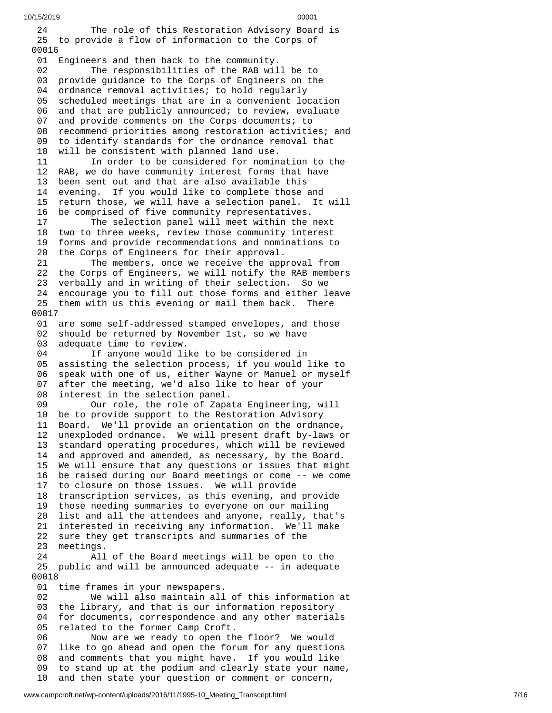10/15/2019 00001 2 4 The role of this Restoration Advisory Board is 25 to provide a flow of information to the Corps of 00016 01 Engineers and then back to the community. 02 The responsibilities of the RAB will be to 0 3 provide guidance to the Corps of Engineers on the 0 4 ordnance removal activities; to hold regularly 0 5 scheduled meetings that are in a convenient location 0 6 and that are publicly announced; to review, evaluate 0 7 and provide comments on the Corps documents; to 0 8 recommend priorities among restoration activities; and 0 9 to identify standards for the ordnance removal that 1 0 will be consistent with planned land use. 11 In order to be considered for nomination to the 12 RAB, we do have community interest forms that have 13 been sent out and that are also available this 1 4 evening. If you would like to complete those and 15 return those, we will have a selection panel. It will 1 6 be comprised of five community representatives. 17 The selection panel will meet within the next 18 two to three weeks, review those community interest 1 9 forms and provide recommendations and nominations to 2 0 the Corps of Engineers for their approval. 21 The members, once we receive the approval from 22 the Corps of Engineers, we will notify the RAB members 23 verbally and in writing of their selection. So we 24 encourage you to fill out those forms and either leave 25 them with us this evening or mail them back. There 0 0 0 1 7 01 are some self-addressed stamped envelopes, and those 02 should be returned by November 1st, so we have 03 adequate time to review. 04 If anyone would like to be considered in 0 5 assisting the selection process, if you would like to 06 speak with one of us, either Wayne or Manuel or myself 0 7 after the meeting, we'd also like to hear of your 0 8 interest in the selection panel. 09 Our role, the role of Zapata Engineering, will 10 be to provide support to the Restoration Advisory 1 1 Board. We'll provide an orientation on the ordnance, 12 unexploded ordnance. We will present draft by-laws or 13 standard operating procedures, which will be reviewed 14 and approved and amended, as necessary, by the Board. 15 We will ensure that any questions or issues that migh t 16 be raised during our Board meetings or come -- we come 17 to closure on those issues. We will provide 18 transcription services, as this evening, and provide 1 9 those needing summaries to everyone on our mailing 20 list and all the attendees and anyone, really, that's 21 interested in receiving any information. We'll make 22 sure they get transcripts and summaries of the 2 3 meetings. 24 All o f t h e B o a r d m e e t i n g s w i l l b e o p e n t o t h e 25 public and will be announced adequate -- in adequate 0 0 0 1 8 01 time frames in your newspapers. 02 We will also maintain all o f t h i s i n f o r m a t i o n a t 03 the library, and that is our information repository 04 for documents, correspondence and any other materials 05 related to the former Camp Croft. 06 Now are we ready to open the floor? We would 0 7 like to go ahead and open the forum for any questions 0 8 and comments that you might have. If you would like 0 9 to stand up at the podium and clearly state your name, 1 0 and then state your question or comment or concern,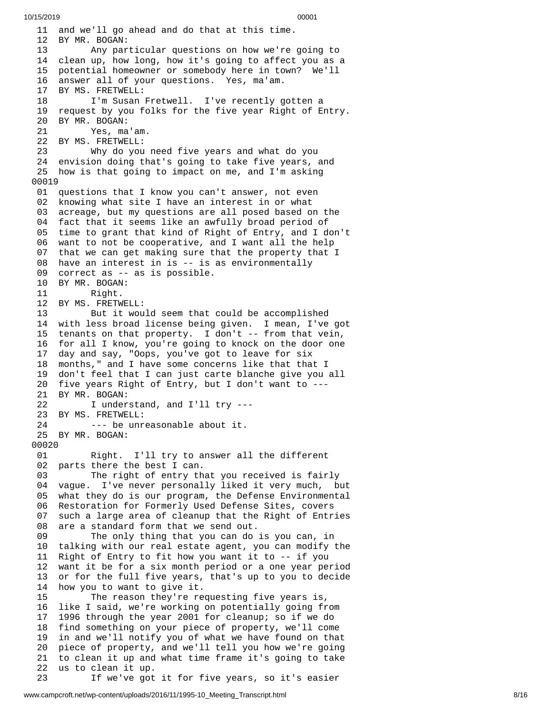11 and we'll go ahead and do that at this time. 12 BY MR. BOGAN: 13 Any particular questions on how we're going to 14 clean up, how long, how it's going to affect you as a 1 5 potential homeowner or somebody here in town? We'll 16 answer all of your questions. Yes, ma'am. 17 BY MS. FRETWELL: 18 I'm Susan Fretwell. I've recently gotten a 19 request by you folks for the five year Right of Entry. 20 BY MR. BOGAN: 21 Yes, ma'am. 22 BY MS. FRETWELL: 23 Why do you need five years and what do you 24 envision doing that's going to take five years, and 25 how is that going to impact on me, and I'm asking 00019 01 questions that I know you can't answer, not even 02 knowing what site I have an interest in or what 03 acreage, but my questions are all posed based on the 04 fact that it seems like an awfully broad period of 0 5 time to grant that kind of Right of Entry, and I don't 06 want to not be cooperative, and I want all the help 07 that we can get making sure that the property that I 08 have an interest in is -- is as environmentally 09 correct as -- as is possible. 10 BY MR. BOGAN: 11 Right. 12 BY MS. FRETWELL: 13 But it would seem that could be accomplished 14 with less broad license being given. I mean, I've got 15 tenants on that property. I don't -- from that vein, 16 for all I know, you're going to knock on the door one 17 day and say, "Oops, you've got to leave for six 1 8 months," and I have some concerns like that that I 19 don't feel that I can just carte blanche give you all 20 five years Right of Entry, but I don't want to ---21 BY MR. BOGAN: 22 I understand, and I'll try ---23 BY MS. FRETWELL: 24 --- be unreasonable about it. 25 BY MR. BOGAN: 00020 01 Right. I'll try to answer al l t h e d i f f e r e n t 0 2 parts there the best I can. 03 The right of entry that you received is fairly 04 vague. I've never personally liked it very much, but 05 what they do is our program, the Defense Environmental 06 Restoration for Formerly Used Defense Sites, covers 07 such a large area of cleanup that the Right of Entries 0 8 are a standard form that we send out. 09 The only thing that you can do is you can, in 10 talking with our real estate agent, you can modify the 1 1 Right of Entry to fit how you want it to -- if you 1 2 want it be for a six month period or a one year period 13 or for the full five years, that's up to you to decide 1 4 how you to want to give it. 15 The reason they're requesting five years is, 1 6 like I said, we're working on potentially going from 1 7 1996 through the year 2001 for cleanup; so if we do 18 find something on your piece of property, we'll come 1 9 in and we'll notify you of what we have found on that 20 piece of property, and we'll tell you how we're going 21 to clean it up and what time frame it's going to take 22 us to clean it up. 23 If we've got it for five years, so it's easier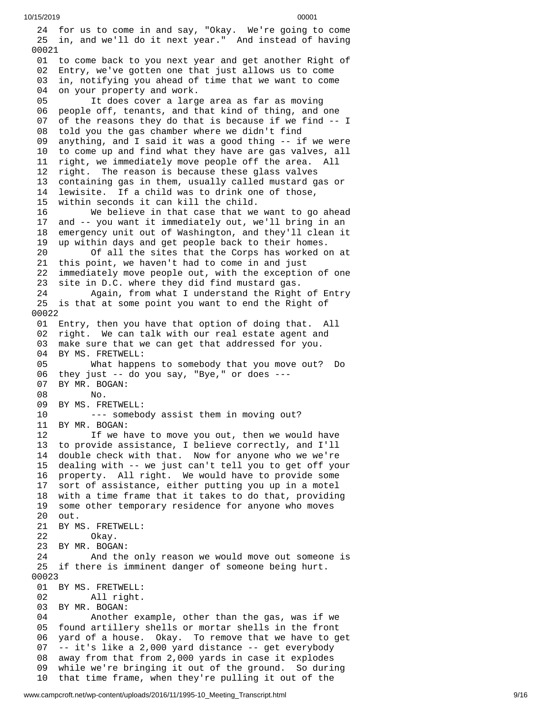24 for us to come in and say, "Okay. We're going to come 25 in, and we'll do it next year." And instead of having 0 0 0 2 1 01 to come back to you next year and get another Right of 0 2 Entry, we've gotten one that just allows us to come 0 3 in, notifying you ahead of time that we want to come 0 4 on your property and work. 05 It does cover a large area as far as moving 0 6 people off, tenants, and that kind of thing, and one 0 7 of the reasons they do that is because if we find -- I 08 told you the gas chamber where we didn't find 0 9 anything, and I said it was a good thing -- if we were 10 to come up and find what they have are gas valves, all 11 right, we immediately move people off the area. All 12 right. The reason is because these glass valves 13 containing gas in them, usually called mustard gas or 14 lewisite. If a child was to drink one of those, 1 5 within seconds it can kill the child. 16 We believe in that case that we w a n t t o g o a h e a d 1 7 and -- you want it immediately out, we'll bring in an 1 8 emergency unit out of Washington, and they'll clean it 1 9 up within days and get people back to their homes. 20 Of all the sites that the Corps has worked o n a t 21 this point, we haven't had to come in and just 2 2 immediately move people out, with the exception of one 23 site in D.C. where they did find mustard gas. 24 Again, from what I understand the Right o f E n t r y 25 is that at some point you want to end the Right of 0 0 0 2 2 01 Entry, then you have that option of doing that. All 02 right. We can talk with our real estate agent and 03 make sure that we can get that addressed for you. 04 BY MS. FRETWELL: 05 What happens to somebody that you move out? D o 06 they just -- do you say, "Bye," or does ---0 7 BY MR. BOGAN: 08 No. 09 BY MS. FRETWE L L: 10 --- somebody assist them in moving out? 1 1 B Y M R. B O G A N: 12 If we have to move you out, then we would have 13 to provide assistance, I believe correctly, and I'll 14 double check with that. Now for anyone who we we're 15 dealing with -- we just can't tell you to get off your 16 property. All right. We would have to provide some 17 sort of assistance, either putting you up in a motel 18 with a time frame that it takes to do that, providing 19 some other temporary residence for anyone who moves 20 out. 21 BY MS. FRETWELL: 22 Okay. 23 BY MR. BOGAN: 24 And the on l y r e a s o n w e w o u l d m o v e o u t s o m e o n e i s 25 if there is imminent danger of someone being hurt. 00023 01 BY MS. FRETWELL: 02 All right. 03 BY MR. BOGAN: 04 Another example, other than the gas, was if w e 05 found artillery shells or mortar shells in the front 06 yard of a house. Okay. To remove that we have to get 07 -- it's like a 2,000 yard distance -- get everybody 08 away from that from 2,000 yards in case it explodes 09 while we're bringing it out of the ground. So during 10 that time frame, when they're pulling it out of the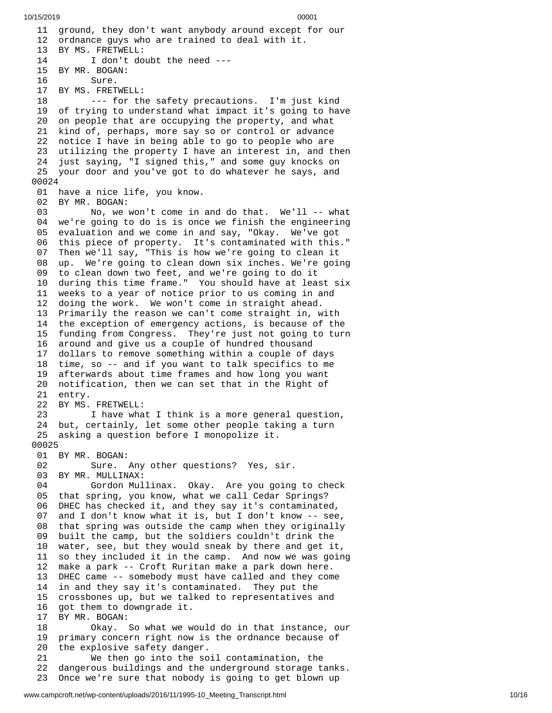11 ground, they don't want anybody around except for our 12 ordnance guys who are trained to deal with it. 13 BY MS. FRETWELL: 14 I don't doubt the need --- 15 BY MR. BOGAN: 16 Sure. 17 BY MS. FRETWELL: 18 --- for the safety precautions. I'm just kind 19 of trying to understand what impact it's going to have 20 on people that are occupying the property, and what 21 kind of, perhaps, more say so or control or advance 22 notice I have in being able to go to people who are 23 utilizing the property I have an interest in, and then 24 just saying, "I signed this," and some guy knocks on 25 your door and you've got to do whatever he says, and 0 0 0 2 4 01 have a nice life, you know. 02 BY MR. BOGAN: 03 No, we won't come in a n d d o t h a t. W e'l l - - w h a t 04 we're going to do is is once we finish the engineering 05 evaluation and we come in and say, "Okay. We've got 06 this piece of property. It's contaminated with this." 0 7 Then we'll say, "This is how we're going to clean it 08 up. We're going to clean down six inches. We're going 09 to clean down two feet, and we're going to do it 10 during this time frame." You should have at least six 11 weeks to a year of notice prior to us coming in and 12 doing the work. We won't come in straight ahead. 13 Primarily the reason we can't come straight in, with 14 the exception of emergency actions, is because of the 15 funding from Congress. They're just not going to turn 16 around and give us a couple of hundred thousand 17 dollars to remove something within a couple of days 18 time, so -- and if you want to talk specifics to me 19 afterwards about time frames and how long you want 20 notification, then we can set that in the Right of 21 entry. 22 BY MS. FRETWELL: 23 I have what I think is a more general question, 24 but, certainly, let some other people taking a turn 25 asking a question before I monopolize it. 00025 01 BY MR. BOGAN: 02 Sure. Any other questions? Yes, s i r. 03 BY MR. MULLINAX: 04 Gordon Mullinax. Okay. Are you going to check 05 that spring, you know, what we call Cedar Springs? 06 DHEC has checked it, and they say it's contaminated, 0 7 and I don't know what it is, but I don't know -- see, 08 that spring was outside the camp when they originally 0 9 built the camp, but the soldiers couldn't drink the 1 0 water, see, but they would sneak by there and get it, 1 1 so they included it in the camp. And now we was going 1 2 make a park -- Croft Ruritan make a park down here. 13 DHEC came -- somebody must have called and they com e 1 4 in and they say it's contaminated. They put the 15 crossbones up, but we talked to representatives and 16 got them to downgrade it. 17 BY MR. BOGAN: 18 Okay. So what we w o u l d d o i n t h a t i n s t a n c e , o u r 1 9 primary concern right now is the ordnance because of 20 the explosive safety danger. 21 We then go into the soil contamination, the 2 2 dangerous buildings and the underground storage tanks. 23 Once we're sure that nobody is going to get blown up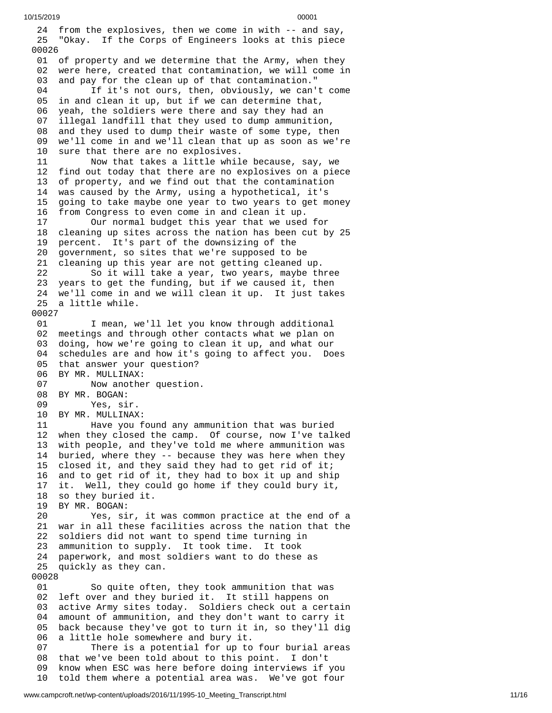2 4 from the explosives, then we come in with -- and say, 25 "Okay. If the Corps of Engineers looks at this piece 0 0 0 2 6 01 of property and we determine that the Army, when they 02 were here, created that contamination, we will come in 0 3 and pay for the clean up of that contamination." 0 4 If it's not ours, then, obviously, we can't come 0 5 in and clean it up, but if we can determine that, 0 6 yeah, the soldiers were there and say they had an 0 7 illegal landfill that they used to dump ammunition, 08 and they used to dump their waste of some type, then 0 9 we'll come in and we'll clean that up as soon as we're 10 sure that there are no explosives. 11 Now that takes a little while because, say, we 12 find out today that there are no explosives on a piece 13 of property, and we find out that the contamination 1 4 was caused by the Army, using a hypothetical, it's 1 5 going to take maybe one year to two years to get money 16 from Congress to even come in and clean it up. 17 Our normal budget this year that we used f o r 1 8 cleaning up sites across the nation has been cut by 25 1 9 percent. It's part of the downsizing of the 2 0 government, so sites that we're supposed to be 21 cleaning up this year are not getting cleaned up. 22 So it will take a year, two years, maybe th r e e 23 years to get the funding, but if we caused it, then 24 we'll come in and we will clean it up. It just takes 25 a little while. 00027 01 I mean, we'll let you know through additional 02 meetings and through other contacts what we plan on 03 doing, how we're going to clean it up, and what our 04 schedules are and how it's going to affect you. Does 05 that answer your question? 06 BY MR. MULLINAX: 07 Now anothe r q u e s t i o n. 08 BY MR. BOGAN: 09 Yes, sir. 10 BY MR. MULLINAX: 11 Have you found any ammunition that was buried 12 when they closed the camp. Of course, now I've talked 13 with people, and they've told me where ammunition was 14 buried, where they -- because they was here when they 15 closed it, and they said they had to get rid of it; 16 and to get rid of it, they had to box it up and ship 17 it. Well, they could go home if they could bury it, 18 so they buried it. 19 BY MR. BOGAN: 20 Yes, sir, it was common practice at the end of a 21 war in all these facilities across the nation that the 22 soldiers did not want to spend time turning in 2 3 ammunition to supply. It took time. It took 2 4 paperwork, and most soldiers want to do these as 25 quickly as they can. 00028 01 So quite often, they took ammunition that was 0 2 left over and they buried it. It still happens on 0 3 active Army sites today. Soldiers check out a certain 0 4 amount of ammunition, and they don't want to carry it 05 back because they've got to turn it in, so they'll dig 0 6 a little hole somewhere and bury it. 07 There is a potential for up to four burial areas 08 that we've been told about to this point. I don't 0 9 know when ESC was here before doing interviews if you 1 0 told them where a potential area was. We've got four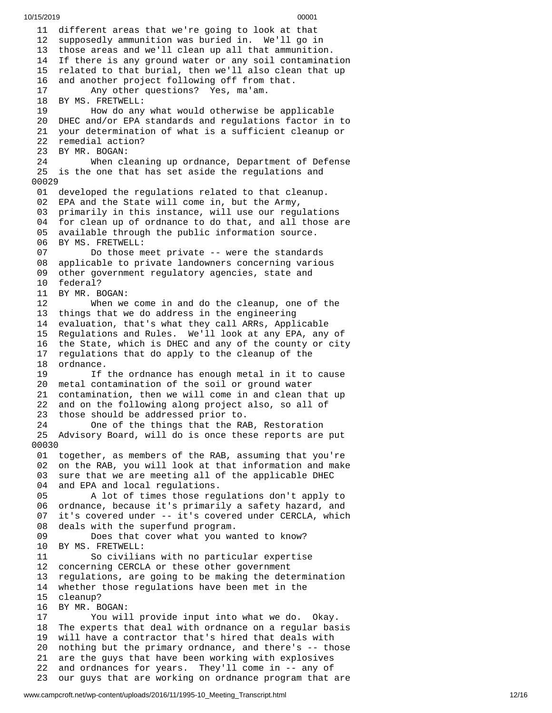11 different areas that we're going to look at that 12 supposedly ammunition was buried in. We'll go in 13 those areas and we'll clean up all that ammunition. 14 If there is any ground water or any soil contaminat i o n 15 related to that burial, then we'll also clean that up 1 6 and another project following off from that. 17 Any other questions? Yes, ma'am. 18 BY MS. FRETWELL: 19 How do any what would otherwise be app l i c a b l e 20 DHEC and/or EPA standards and regulations factor in to 21 your determination of what is a sufficient cleanup or 22 remedial action? 23 BY MR. BOGAN: 24 When cl e a n i n g u p o r d n a n c e , D e p a r t m e n t o f D e f e n s e 25 is the one that has set aside the regulations and 0 0 0 2 9 01 developed the regulations related to that cleanup. 02 EPA and the State will come in, but the Army, 03 primarily in this instance, will use our regulatio n s 04 for clean up of ordnance to do that, and all those are 0 5 available through the public information source. 06 BY MS. FRETWELL:<br>07 Do those m 07 Do those meet private -- were the standard s 08 applicable to private landowners concerning various 0 9 other government regulatory agencies, state and 10 federal? 1 1 B Y M R. B O G A N: 12 When we come in and do the cleanup, one of the 13 things that we do address in the engineering 14 evaluation, that's what they call ARRs, Applicable 15 Regulations and Rules. We'll look at any EPA, any of 1 6 the State, which is DHEC and any of the county or city 17 regulations that do apply to the cleanup of the 18 ordnance. 19 If the ordnance has enough metal in it to cause 2 0 metal contamination of the soil or ground water 21 contamination, then we will come in and clean that up 2 2 and on the following along project also, so all of 23 those should be addressed prior to. 24 One of the things that the RAB, Restoration 25 Advisory Board, will do is once these reports are put 0 0 0 3 0 01 together, as members of the RAB, assuming that you're 02 on the RAB, you will look at that information and make 03 sure that we are meeting all of the applicable DHEC 04 and EPA and local regulations. 05 A lot of times those regulations don't apply to 06 ordnance, because it's primarily a safety hazard, and 0 7 it's covered under -- it's covered under CERCLA, which 08 deals with the superfund program. 09 Does that cover what you wanted to know? 10 BY MS. FRETWELL: 11 So civilians with no particular expertise 12 concerning CERCLA or these other government 13 regulations, are going to be making the determination 14 whether those regulations have been met in the 1 5 c l e a n u p ? 16 BY MR. BOGAN: 17 You will provide input into what we do. Okay. 18 The experts that deal with ordnance on a regular bas i s 19 will have a contractor that's hired that deals with 20 nothing but the primary ordnance, and there's -- those 21 are the guys that have been working with explosives 22 and ordnances for years. They'll come in -- any of 23 our guys that are working on ordnance program that are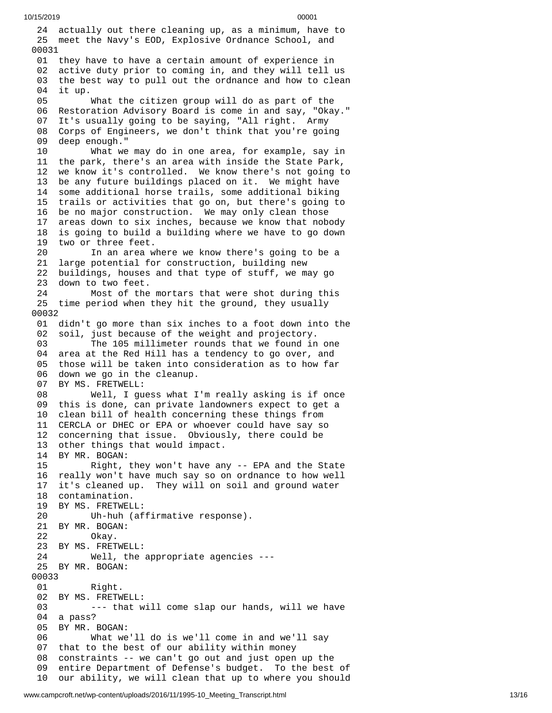24 actually out there cleaning up, as a minimum, have to 25 meet the Navy's EOD, Explosive Ordnance School, and 0 0 0 3 1 01 they have to have a certain amount of experience in 02 active duty prior to coming in, and they will tell us 0 3 the best way to pull out the ordnance and how to clean 0 4 i t u p. 05 What the citizen group will do as part of the 06 Restoration Advisory Board is come in and say, "Okay." 0 7 It's usually going to be saying, "All right. Army 0 8 Corps of Engineers, we don't think that you're going 0 9 deep enough." 1 0 What we may do in one area, for example, say in 11 the park, there's an area with inside the State Park, 12 we know it's controlled. We know there's not going to 13 be any future buildings placed on it. We might have 14 some additional horse trails, some additional biking 15 trails or activities that go on, but there's going to 16 be no major construction. We may only clean those 1 7 areas down to six inches, because we know that nobody 18 is going to build a building where we have to go down 19 two or three feet. 20 In an area where we know there's going to be a 21 large potential for construction, building new 22 buildings, houses and that type of stuff, we may go 23 down to two feet. 24 Most of the mortars that were shot during this 25 time period when they hit the ground, they usually 0 0 0 3 2 01 didn't go more than six inches to a foot down into the 02 soil, just because of the weight and projectory. 03 The 105 millimeter rounds that we found in one 04 area at the Red Hill has a tendency to go over, and 05 those will be taken into consideration as to how far 06 down we go in the cleanup. 07 BY MS. FRETWELL: 08 Well, I guess what I'm really asking is if once 09 this is done, can private landowners expect to get a 10 clean bill of health concerning these things from 11 CERCLA or DHEC or EPA or whoever could have say so 12 concerning that issue. Obviously, there could be 13 other things that would impact. 14 BY MR. BOGAN: 15 Right, they won't have any -- EPA and the State 16 really won't have much say so on ordnance to how well 17 it's cleaned up. They will on soil and ground water 18 contamination. 19 BY MS. FRETWEL L: 20 Uh-huh (affirmative response). 21 BY MR. BOGAN: 22 Okay. 23 BY MS. FRETWELL: 24 Well, the appropriate agencies - - - 25 BY MR. BOGAN: 00033 01 Right. 02 BY MS. FRETWELL: 03 --- that will come slap our hands, will we have 04 a pass? 05 BY MR. BOGAN: 06 What we'l l d o i s w e'l l c o m e i n a n d w e'l l s a y 07 that to the best of our ability within money 08 constraints -- we can't go out and just open up the 0 9 entire Department of Defense's budget. To the best of 10 our ability, we will clean that up to where you should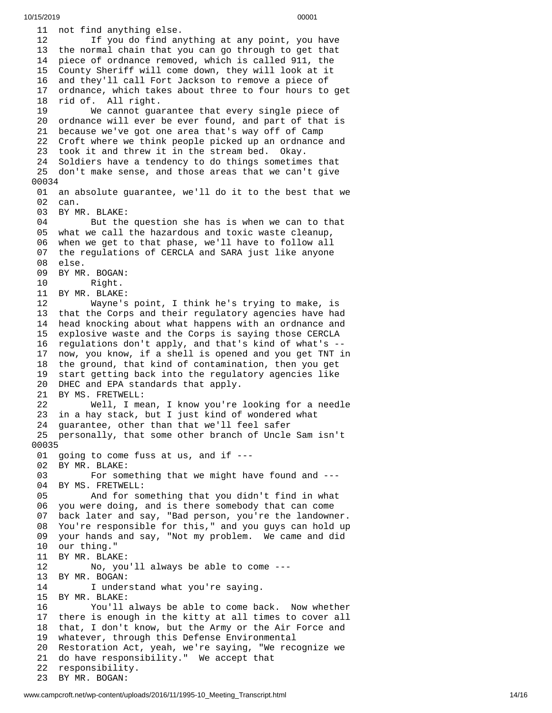11 not find anything else. 12 If you do find anything at any point, you have 13 the normal chain that you can go through to get that 14 piece of ordnance removed, which is called 911, the 15 County Sheriff will come down, they will look at it 1 6 and they'll call Fort Jackson to remove a piece of 1 7 ordnance, which takes about three to four hours to get 18 rid of. All right. 19 We cannot gua r a n t e e t h a t e v e r y s i n g l e p i e c e o f 20 ordnance will ever be ever found, and part of that is 21 because we've got one area that's way off of Camp 22 Croft where we think people picked up an ordnance and 23 took it and threw it in the stream bed. Okay. 24 Soldiers have a tendency to do things sometimes that 25 don't make sense, and those areas that we can't give 0 0 0 3 4 01 an absolute guarantee, we'll do it to the best that we 02 can. 03 BY MR. BLAKE: 04 But the question she has is when we can to that 05 what we call the hazardous and toxic waste cleanup, 0 6 when we get to that phase, we'll have to follow all 0 7 the regulations of CERCLA and SARA just like anyone 0 8 e l s e. 09 BY MR. BOGAN: 10 Right. 11 BY MR. BLAKE: 12 Wayne's point, I think he's trying to make, is 13 that the Corps and their regulatory agencies have had 14 head knocking about what happens with an ordnance and 15 explosive waste and the Corps is saying those CERCLA 16 regulations don't apply, and that's kind of what's --1 7 now, you know, if a shell is opened and you get TNT in 18 the ground, that kind of contamination, then you get 19 start getting back into the regulatory agencies like 20 DHEC and EPA standards that apply. 21 BY MS. FRETWELL: 22 Well, I mean, I know you're l o o k i n g f o r a n e e d l e 23 in a hay stack, but I just kind of wondered what 24 guarantee, other than that we'll feel safer 25 personally, that some other branch of Uncle Sam isn't 0 0 0 3 5 01 going to come fuss at us, and if ---02 BY MR. BLAKE: 03 For something that we might have found and ---04 BY MS. FRETWELL: 05 And for so m e t h i n g t h a t y o u d i d n't f i n d i n w h a t 06 you were doing, and is there somebody that can come 07 back later and say, "Bad person, you're the landowner. 08 You're responsible for this," and you guys can hold up 09 your hands and say, "Not my problem. We came and did 10 our thing." 11 BY MR. BLAKE: 12 No, you'll always be able to come --- 13 BY MR. BOGAN: 14 I understand what you're saying. 15 BY MR. BLAKE: 16 You'll always be able to come back. Now whether 17 there is enough in the kitty at all times to cover all 18 that, I don't know, but the Army or the Air Force and 19 whatever, through this Defense Environmental 20 Restoration Act, yeah, we're saying, "We recognize we 21 do have responsibility." We accept that 22 responsibility. 23 BY MR. BOGAN: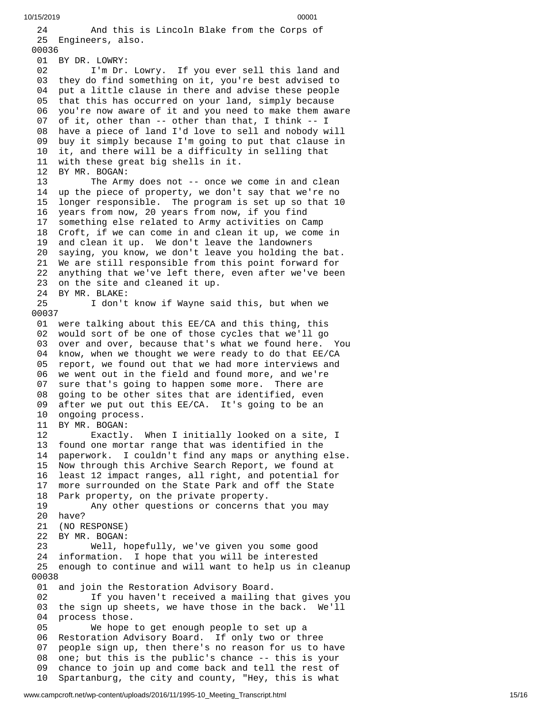```
10/15/2019 00001
```
2 4 And this is Lincoln Blake from the Corps of 25 Engineers, also. 00036 01 BY DR. LOWRY: 02 I'm Dr. Lowry. If you ever sell this land and 0 3 they do find something on it, you're best advised to 0 4 put a little clause in there and advise these people 05 that this has occurred on your land, simply because 0 6 you're now aware of it and you need to make them aware 07 of it, other than -- other than that, I think -- I 08 have a piece of land I'd love to sell and nobody will 0 9 buy it simply because I'm going to put that clause in 10 it, and there will be a difficulty in selling that 11 with these great big shells in it. 12 BY MR. BOGAN: 13 The Army does not -- once we come in and clean 14 up the piece of property, we don't say that we're no 15 longer responsible. The program is set up so that 10 16 years from now, 20 years from now, if you find 17 something else related to Army activities on Camp 18 Croft, if we can come in and clean it up, we come in 1 9 and clean it up. We don't leave the landowners 20 saying, you know, we don't leave you holding the bat. 21 We are still responsible from this point forward for 22 anything that we've left there, even after we've been 23 on the site and cleaned it up. 24 BY MR. BLAKE: 25 I don't know if Wayne said this, but when we 0 0 0 3 7 01 were talking about this EE/CA and this thing, this 02 would sort of be one of those cycles that we'll go 03 over and over, because that's what we found here. You 04 know, when we thought we were ready to do that EE/CA 05 report, we found out that we had more interviews and 06 we went out in the field and found more, and we're 07 sure that's going to happen some more. There are 0 8 going to be other sites that are identified, even 0 9 after we put out this EE/CA. It's going to be an 10 ongoing process. 11 BY MR. BOGAN: 12 Exactly. When I initially looked on a site, I 13 found one mortar range that was identified in the 1 4 paperwork. I couldn't find any maps or anything else. 15 Now through this Archive Search Report, we found at 16 least 12 impact ranges, all right, and potential for 17 more surrounded on the State Park and off the State 18 Park property, on the private property. 19 Any other questions or concerns that you may 20 have? 21 (NO RESPONSE) 22 BY MR. BOGAN: 23 Well, hopefully, we've given you some good 24 information. I hope that you will be interested 25 enough to continue and will want to help us in cleanup 0 0 0 3 8 01 and join the Restoration Advisory Board. 02 If you haven't received a mailing that gives you 03 the sign up sheets, we have those in the back. We'll 0 4 process those. 05 We hope t o g e t e n o u g h p e o p l e t o s e t u p a 06 Restoration Advisory Board. If only two or three 0 7 people sign up, then there's no reason for us to have 08 one; but this is the public's chance -- this is your 0 9 chance to join up and come back and tell the rest of 10 Spartanburg, the city and county, "Hey, this is what